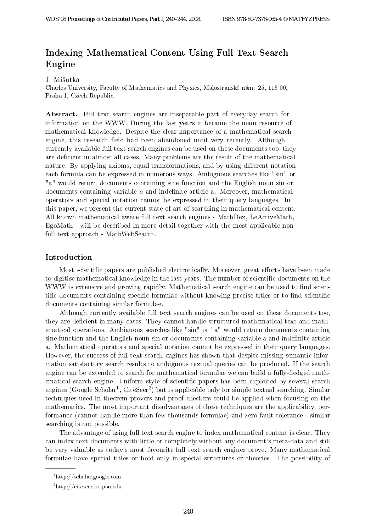# Indexing Mathematical Content Using Full Text Search Engine

## J. Mišutka

Charles University, Faculty of Mathematics and Physics, Malostranské nám. 25, 118 00, Praha 1, Czech Republic.

Abstract. Full text search engines are inseparable part of everyday search for information on the WWW. During the last years it became the main resource of mathematical knowledge. Despite the clear importance of a mathematical search engine, this research field had been abandoned until very recently. Although currently available full text search engines can be used on these documents too, they are deficient in almost all cases. Many problems are the result of the mathematical nature. By applying axioms, equal transformations, and by using different notation each formula can be expressed in numerous ways. Ambiguous searches like "sin" or "a" would return documents containing sine function and the English noun sin or documents containing variable  $a$  and indefinite article a. Moreover, mathematical operators and special notation cannot be expressed in their query languages. In this paper, we present the current state-of-art of searching in mathematical content. All known mathematical aware full text search engines - MathDex, LeActiveMath, EgoMath - will be described in more detail together with the most applicable non full text approach - MathWebSearch.

# Introduction

Most scientific papers are published electronically. Moreover, great efforts have been made to digitise mathematical knowledge in the last years. The number of scientific documents on the WWW is extensive and growing rapidly. Mathematical search engine can be used to find scientific documents containing specific formulae without knowing precise titles or to find scientific documents containing similar formulae.

Although currently available full text search engines can be used on these documents too, they are deficient in many cases. They cannot handle structured mathematical text and mathematical operations. Ambiguous searches like "sin" or "a" would return documents containing sine function and the English noun sin or documents containing variable a and indefinite article a. Mathematical operators and special notation cannot be expressed in their query languages. However, the success of full text search engines has shown that despite missing semantic information satisfactory search results to ambiguous textual queries can be produced. If the search engine can be extended to search for mathematical formulae we can build a fully-fledged mathematical search engine. Uniform style of scientific papers has been exploited by several search engines (Google Scholar<sup>1</sup>, CiteSeer<sup>2</sup>) but is applicable only for simple textual searching. Similar techniques used in theorem provers and proof checkers could be applied when focusing on the mathematics. The most important disadvantages of these techniques are the applicability, performance (cannot handle more than few thousands formulae) and zero fault tolerance - similar searching is not possible. 2240 *WDS: B* We are the state of Contributed Papers of Contributed Papers of Contributed Papers. The state of Contributed Papers of Contributed Papers of Contributed Papers. The state of Contributed Papers of Contributed

The advantage of using full text search engine to index mathematical content is clear. They can index text documents with little or completely without any document's meta-data and still be very valuable as today's most favourite full text search engines prove. Many mathematical formulae have special titles or hold only in special structures or theories. The possibility of

<sup>1</sup>http://scholar.google.com

 $^{2}$ http://citeseer.ist.psu.edu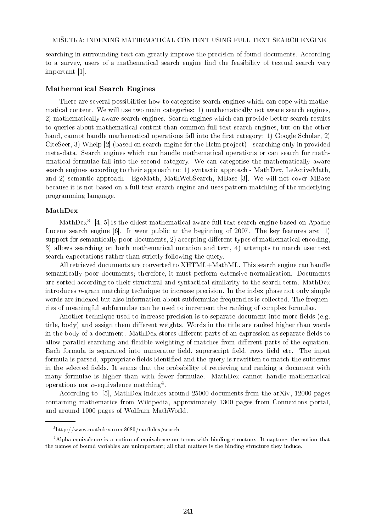searching in surrounding text can greatly improve the precision of found documents. According to a survey, users of a mathematical search engine find the feasibility of textual search very important [1].

#### Mathematical Search Engines

There are several possibilities how to categorise search engines which can cope with mathematical content. We will use two main categories: 1) mathematically not aware search engines, 2) mathematically aware search engines. Search engines which can provide better search results to queries about mathematical content than common full text search engines, but on the other hand, cannot handle mathematical operations fall into the first category: 1) Google Scholar, 2) CiteSeer, 3) Whelp [2] (based on search engine for the Helm project) - searching only in provided meta-data. Search engines which can handle mathematical operations or can search for mathematical formulae fall into the second category. We can categorise the mathematically aware search engines according to their approach to: 1) syntactic approach - MathDex, LeActiveMath, and 2) semantic approach - EgoMath, MathWebSearch, MBase [3]. We will not cover MBase because it is not based on a full text search engine and uses pattern matching of the underlying programming language.

### MathDex

MathDex<sup>3</sup> [4; 5] is the oldest mathematical aware full text search engine based on Apache Lucene search engine [6]. It went public at the beginning of 2007. The key features are: 1) support for semantically poor documents,  $2$ ) accepting different types of mathematical encoding, 3) allows searching on both mathematical notation and text, 4) attempts to match user text search expectations rather than strictly following the query.

All retrieved documents are converted to XHTML+MathML. This search engine can handle semantically poor documents; therefore, it must perform extensive normalisation. Documents are sorted according to their structural and syntactical similarity to the search term. MathDex introduces  $n$ -gram matching technique to increase precision. In the index phase not only simple words are indexed but also information about subformulae frequencies is collected. The frequencies of meaningful subformulae can be used to increment the ranking of complex formulae.

Another technique used to increase precision is to separate document into more fields (e.g. title, body) and assign them different weights. Words in the title are ranked higher than words in the body of a document. MathDex stores different parts of an expression as separate fields to allow parallel searching and flexible weighting of matches from different parts of the equation. Each formula is separated into numerator field, superscript field, rows field etc. The input formula is parsed, appropriate fields identified and the query is rewritten to match the subterms in the selected fields. It seems that the probability of retrieving and ranking a document with many formulae is higher than with fewer formulae. MathDex cannot handle mathematical operations nor  $\alpha$ -equivalence matching<sup>4</sup>.

According to [5], MathDex indexes around 25000 documents from the arXiv, 12000 pages containing mathematics from Wikipedia, approximately 1300 pages from Connexions portal, and around 1000 pages of Wolfram MathWorld.

<sup>3</sup>http://www.mathdex.com:8080/mathdex/search

<sup>4</sup>Alpha-equivalence is a notion of equivalence on terms with binding structure. It captures the notion that the names of bound variables are unimportant; all that matters is the binding structure they induce.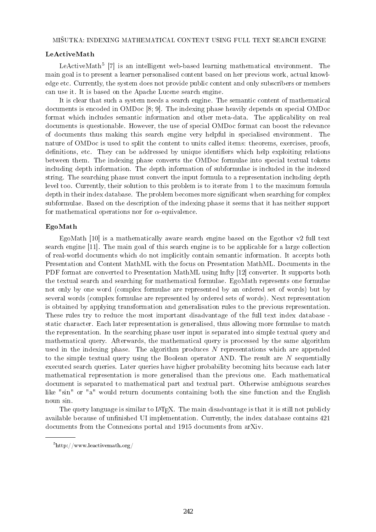### LeActiveMath

LeActiveMath<sup>5</sup> [7] is an intelligent web-based learning mathematical environment. The main goal is to present a learner personalised content based on her previous work, actual knowledge etc. Currently, the system does not provide public content and only subscribers or members can use it. It is based on the Apache Lucene search engine.

It is clear that such a system needs a search engine. The semantic content of mathematical documents is encoded in OMDoc [8; 9]. The indexing phase heavily depends on special OMDoc format which includes semantic information and other meta-data. The applicability on real documents is questionable. However, the use of special OMDoc format can boost the relevance of documents thus making this search engine very helpful in specialised environment. The nature of OMDoc is used to split the content to units called items: theorems, exercises, proofs, definitions, etc. They can be addressed by unique identifiers which help exploiting relations between them. The indexing phase converts the OMDoc formulae into special textual tokens including depth information. The depth information of subformulae is included in the indexed string. The searching phase must convert the input formula to a representation including depth level too. Currently, their solution to this problem is to iterate from 1 to the maximum formula depth in their index database. The problem becomes more significant when searching for complex subformulae. Based on the description of the indexing phase it seems that it has neither support for mathematical operations nor for  $\alpha$ -equivalence.

### EgoMath

EgoMath [10] is a mathematically aware search engine based on the Egothor v2 full text search engine [11]. The main goal of this search engine is to be applicable for a large collection of real-world documents which do not implicitly contain semantic information. It accepts both Presentation and Content MathML with the focus on Presentation MathML. Documents in the PDF format are converted to Presentation MathML using Infty [12] converter. It supports both the textual search and searching for mathematical formulae. EgoMath represents one formulae not only by one word (complex formulae are represented by an ordered set of words) but by several words (complex formulae are represented by ordered sets of words). Next representation is obtained by applying transformation and generalisation rules to the previous representation. These rules try to reduce the most important disadvantage of the full text index database static character. Each later representation is generalised, thus allowing more formulae to match the representation. In the searching phase user input is separated into simple textual query and mathematical query. Afterwards, the mathematical query is processed by the same algorithm used in the indexing phase. The algorithm produces  $N$  representations which are appended to the simple textual query using the Boolean operator AND. The result are  $N$  sequentially executed search queries. Later queries have higher probability becoming hits because each later mathematical representation is more generalised than the previous one. Each mathematical document is separated to mathematical part and textual part. Otherwise ambiguous searches like "sin" or "a" would return documents containing both the sine function and the English noun sin.

The query language is similar to  $IAT$ <sub>F</sub>X. The main disadvantage is that it is still not publicly available because of unfinished UI implementation. Currently, the index database contains 421 documents from the Connexions portal and 1915 documents from arXiv.

 $5$ http://www.leactivemath.org/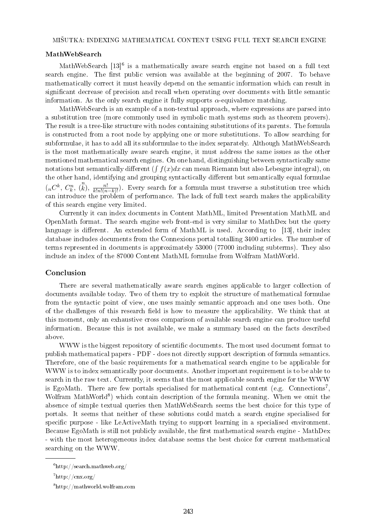## MathWebSearch

MathWebSearch  $[13]^{6}$  is a mathematically aware search engine not based on a full text search engine. The first public version was available at the beginning of 2007. To behave mathematically correct it must heavily depend on the semantic information which can result in significant decrease of precision and recall when operating over documents with little semantic information. As the only search engine it fully supports  $\alpha$ -equivalence matching.

MathWebSearch is an example of a non-textual approach, where expressions are parsed into a substitution tree (more commonly used in symbolic math systems such as theorem provers). The result is a tree-like structure with nodes containing substitutions of its parents. The formula is constructed from a root node by applying one or more substitutions. To allow searching for subformulae, it has to add all its subformulae to the index separately. Although MathWebSearch is the most mathematically aware search engine, it must address the same issues as the other mentioned mathematical search engines. On one hand, distinguishing between syntactically same notations but semantically different  $(\int f(x)dx$  can mean Riemann but also Lebesgue integral), on the other hand, identifying and grouping syntactically different but semantically equal formulae  $(nC^k, C_k^n, \binom{n}{k}, \frac{n!}{k!n!(n-k)!})$ . Every search for a formula must traverse a substitution tree which can introduce the problem of performance. The lack of full text search makes the applicability of this search engine very limited.

Currently it can index documents in Content MathML, limited Presentation MathML and OpenMath format. The search engine web front-end is very similar to MathDex but the query language is different. An extended form of MathML is used. According to [13], their index database includes documents from the Connexions portal totalling 3400 articles. The number of terms represented in documents is approximately 53000 (77000 including subterms). They also include an index of the 87000 Content MathML formulae from Wolfram MathWorld.

#### Conclusion

There are several mathematically aware search engines applicable to larger collection of documents available today. Two of them try to exploit the structure of mathematical formulae from the syntactic point of view, one uses mainly semantic approach and one uses both. One of the challenges of this research field is how to measure the applicability. We think that at this moment, only an exhaustive cross comparison of available search engine can produce useful information. Because this is not available, we make a summary based on the facts described above.

WWW is the biggest repository of scientific documents. The most used document format to publish mathematical papers - PDF - does not directly support description of formula semantics. Therefore, one of the basic requirements for a mathematical search engine to be applicable for WWW is to index semantically poor documents. Another important requirement is to be able to search in the raw text. Currently, it seems that the most applicable search engine for the WWW is EgoMath. There are few portals specialised for mathematical content (e.g. Connections<sup>7</sup>, Wolfram MathWorld<sup>8</sup>) which contain description of the formula meaning. When we omit the absence of simple textual queries then MathWebSearch seems the best choice for this type of portals. It seems that neither of these solutions could match a search engine specialised for specific purpose - like LeActiveMath trying to support learning in a specialised environment. Because EgoMath is still not publicly available, the first mathematical search engine - MathDex - with the most heterogeneous index database seems the best choice for current mathematical searching on the WWW.

 $6$ http://search.mathweb.org/

 $7$ http://cnx.org/

<sup>8</sup>http://mathworld.wolfram.com